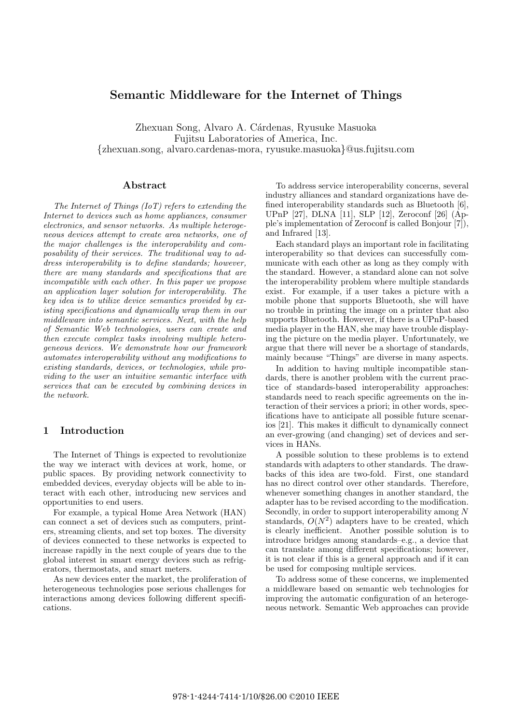# **Semantic Middleware for the Internet of Things**

Zhexuan Song, Alvaro A. Cárdenas, Ryusuke Masuoka Fujitsu Laboratories of America, Inc. *{*zhexuan.song, alvaro.cardenas-mora, ryusuke.masuoka*}*@us.fujitsu.com

## **Abstract**

*The Internet of Things (IoT) refers to extending the Internet to devices such as home appliances, consumer electronics, and sensor networks. As multiple heterogeneous devices attempt to create area networks, one of the major challenges is the interoperability and composability of their services. The traditional way to address interoperability is to define standards; however, there are many standards and specifications that are incompatible with each other. In this paper we propose an application layer solution for interoperability. The key idea is to utilize device semantics provided by existing specifications and dynamically wrap them in our middleware into semantic services. Next, with the help of Semantic Web technologies, users can create and then execute complex tasks involving multiple heterogeneous devices. We demonstrate how our framework automates interoperability without any modifications to existing standards, devices, or technologies, while providing to the user an intuitive semantic interface with services that can be executed by combining devices in the network.*

# **1 Introduction**

The Internet of Things is expected to revolutionize the way we interact with devices at work, home, or public spaces. By providing network connectivity to embedded devices, everyday objects will be able to interact with each other, introducing new services and opportunities to end users.

For example, a typical Home Area Network (HAN) can connect a set of devices such as computers, printers, streaming clients, and set top boxes. The diversity of devices connected to these networks is expected to increase rapidly in the next couple of years due to the global interest in smart energy devices such as refrigerators, thermostats, and smart meters.

As new devices enter the market, the proliferation of heterogeneous technologies pose serious challenges for interactions among devices following different specifications.

To address service interoperability concerns, several industry alliances and standard organizations have defined interoperability standards such as Bluetooth [6], UPnP [27], DLNA [11], SLP [12], Zeroconf [26] (Apple's implementation of Zeroconf is called Bonjour [7]), and Infrared [13].

Each standard plays an important role in facilitating interoperability so that devices can successfully communicate with each other as long as they comply with the standard. However, a standard alone can not solve the interoperability problem where multiple standards exist. For example, if a user takes a picture with a mobile phone that supports Bluetooth, she will have no trouble in printing the image on a printer that also supports Bluetooth. However, if there is a UPnP-based media player in the HAN, she may have trouble displaying the picture on the media player. Unfortunately, we argue that there will never be a shortage of standards, mainly because "Things" are diverse in many aspects.

In addition to having multiple incompatible standards, there is another problem with the current practice of standards-based interoperability approaches: standards need to reach specific agreements on the interaction of their services a priori; in other words, specifications have to anticipate all possible future scenarios [21]. This makes it difficult to dynamically connect an ever-growing (and changing) set of devices and services in HANs.

A possible solution to these problems is to extend standards with adapters to other standards. The drawbacks of this idea are two-fold. First, one standard has no direct control over other standards. Therefore, whenever something changes in another standard, the adapter has to be revised according to the modification. Secondly, in order to support interoperability among *N* standards,  $O(N^2)$  adapters have to be created, which is clearly inefficient. Another possible solution is to introduce bridges among standards–e.g., a device that can translate among different specifications; however, it is not clear if this is a general approach and if it can be used for composing multiple services.

To address some of these concerns, we implemented a middleware based on semantic web technologies for improving the automatic configuration of an heterogeneous network. Semantic Web approaches can provide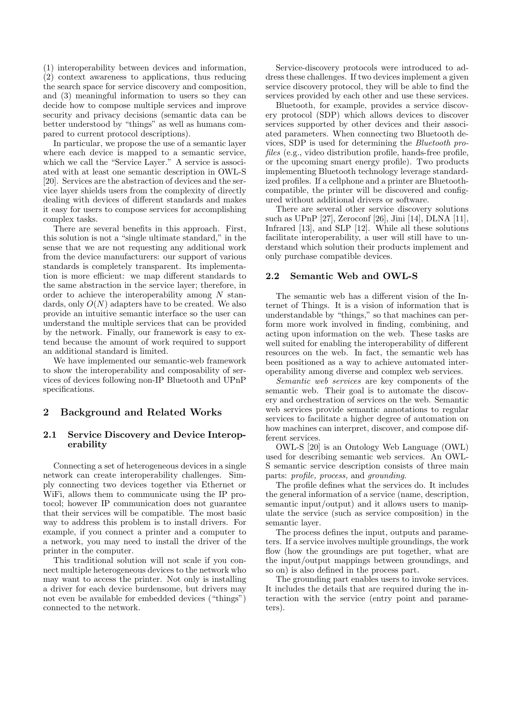(1) interoperability between devices and information, (2) context awareness to applications, thus reducing the search space for service discovery and composition, and (3) meaningful information to users so they can decide how to compose multiple services and improve security and privacy decisions (semantic data can be better understood by "things" as well as humans compared to current protocol descriptions).

In particular, we propose the use of a semantic layer where each device is mapped to a semantic service, which we call the "Service Layer." A service is associated with at least one semantic description in OWL-S [20]. Services are the abstraction of devices and the service layer shields users from the complexity of directly dealing with devices of different standards and makes it easy for users to compose services for accomplishing complex tasks.

There are several benefits in this approach. First, this solution is not a "single ultimate standard," in the sense that we are not requesting any additional work from the device manufacturers: our support of various standards is completely transparent. Its implementation is more efficient: we map different standards to the same abstraction in the service layer; therefore, in order to achieve the interoperability among *N* standards, only  $O(N)$  adapters have to be created. We also provide an intuitive semantic interface so the user can understand the multiple services that can be provided by the network. Finally, our framework is easy to extend because the amount of work required to support an additional standard is limited.

We have implemented our semantic-web framework to show the interoperability and composability of services of devices following non-IP Bluetooth and UPnP specifications.

# **2 Background and Related Works**

### **2.1 Service Discovery and Device Interoperability**

Connecting a set of heterogeneous devices in a single network can create interoperability challenges. Simply connecting two devices together via Ethernet or WiFi, allows them to communicate using the IP protocol; however IP communication does not guarantee that their services will be compatible. The most basic way to address this problem is to install drivers. For example, if you connect a printer and a computer to a network, you may need to install the driver of the printer in the computer.

This traditional solution will not scale if you connect multiple heterogeneous devices to the network who may want to access the printer. Not only is installing a driver for each device burdensome, but drivers may not even be available for embedded devices ("things") connected to the network.

Service-discovery protocols were introduced to address these challenges. If two devices implement a given service discovery protocol, they will be able to find the services provided by each other and use these services.

Bluetooth, for example, provides a service discovery protocol (SDP) which allows devices to discover services supported by other devices and their associated parameters. When connecting two Bluetooth devices, SDP is used for determining the *Bluetooth profiles* (e.g., video distribution profile, hands-free profile, or the upcoming smart energy profile). Two products implementing Bluetooth technology leverage standardized profiles. If a cellphone and a printer are Bluetoothcompatible, the printer will be discovered and configured without additional drivers or software.

There are several other service discovery solutions such as UPnP [27], Zeroconf [26], Jini [14], DLNA [11], Infrared [13], and SLP [12]. While all these solutions facilitate interoperability, a user will still have to understand which solution their products implement and only purchase compatible devices.

# **2.2 Semantic Web and OWL-S**

The semantic web has a different vision of the Internet of Things. It is a vision of information that is understandable by "things," so that machines can perform more work involved in finding, combining, and acting upon information on the web. These tasks are well suited for enabling the interoperability of different resources on the web. In fact, the semantic web has been positioned as a way to achieve automated interoperability among diverse and complex web services.

*Semantic web services* are key components of the semantic web. Their goal is to automate the discovery and orchestration of services on the web. Semantic web services provide semantic annotations to regular services to facilitate a higher degree of automation on how machines can interpret, discover, and compose different services.

OWL-S [20] is an Ontology Web Language (OWL) used for describing semantic web services. An OWL-S semantic service description consists of three main parts: *profile, process,* and *grounding*.

The profile defines what the services do. It includes the general information of a service (name, description, semantic input/output) and it allows users to manipulate the service (such as service composition) in the semantic layer.

The process defines the input, outputs and parameters. If a service involves multiple groundings, the work flow (how the groundings are put together, what are the input/output mappings between groundings, and so on) is also defined in the process part.

The grounding part enables users to invoke services. It includes the details that are required during the interaction with the service (entry point and parameters).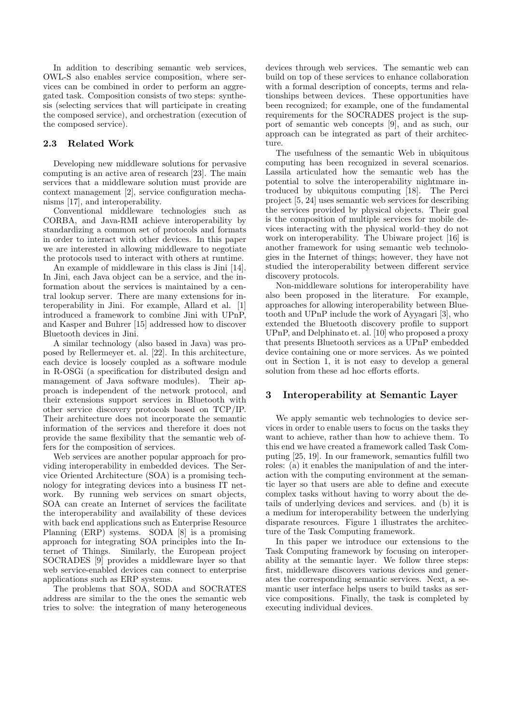In addition to describing semantic web services, OWL-S also enables service composition, where services can be combined in order to perform an aggregated task. Composition consists of two steps: synthesis (selecting services that will participate in creating the composed service), and orchestration (execution of the composed service).

### **2.3 Related Work**

Developing new middleware solutions for pervasive computing is an active area of research [23]. The main services that a middleware solution must provide are context management [2], service configuration mechanisms [17], and interoperability.

Conventional middleware technologies such as CORBA, and Java-RMI achieve interoperability by standardizing a common set of protocols and formats in order to interact with other devices. In this paper we are interested in allowing middleware to negotiate the protocols used to interact with others at runtime.

An example of middleware in this class is Jini [14]. In Jini, each Java object can be a service, and the information about the services is maintained by a central lookup server. There are many extensions for interoperability in Jini. For example, Allard et al. [1] introduced a framework to combine Jini with UPnP, and Kasper and Buhrer [15] addressed how to discover Bluetooth devices in Jini.

A similar technology (also based in Java) was proposed by Rellermeyer et. al. [22]. In this architecture, each device is loosely coupled as a software module in R-OSGi (a specification for distributed design and management of Java software modules). Their approach is independent of the network protocol, and their extensions support services in Bluetooth with other service discovery protocols based on TCP/IP. Their architecture does not incorporate the semantic information of the services and therefore it does not provide the same flexibility that the semantic web offers for the composition of services.

Web services are another popular approach for providing interoperability in embedded devices. The Service Oriented Architecture (SOA) is a promising technology for integrating devices into a business IT network. By running web services on smart objects, SOA can create an Internet of services the facilitate the interoperability and availability of these devices with back end applications such as Enterprise Resource Planning (ERP) systems. SODA [8] is a promising approach for integrating SOA principles into the Internet of Things. Similarly, the European project SOCRADES [9] provides a middleware layer so that web service-enabled devices can connect to enterprise applications such as ERP systems.

The problems that SOA, SODA and SOCRATES address are similar to the the ones the semantic web tries to solve: the integration of many heterogeneous devices through web services. The semantic web can build on top of these services to enhance collaboration with a formal description of concepts, terms and relationships between devices. These opportunities have been recognized; for example, one of the fundamental requirements for the SOCRADES project is the support of semantic web concepts [9], and as such, our approach can be integrated as part of their architecture.

The usefulness of the semantic Web in ubiquitous computing has been recognized in several scenarios. Lassila articulated how the semantic web has the potential to solve the interoperability nightmare introduced by ubiquitous computing [18]. The Perci project [5, 24] uses semantic web services for describing the services provided by physical objects. Their goal is the composition of multiple services for mobile devices interacting with the physical world–they do not work on interoperability. The Ubiware project [16] is another framework for using semantic web technologies in the Internet of things; however, they have not studied the interoperability between different service discovery protocols.

Non-middleware solutions for interoperability have also been proposed in the literature. For example, approaches for allowing interoperability between Bluetooth and UPnP include the work of Ayyagari [3], who extended the Bluetooth discovery profile to support UPnP, and Delphinato et. al. [10] who proposed a proxy that presents Bluetooth services as a UPnP embedded device containing one or more services. As we pointed out in Section 1, it is not easy to develop a general solution from these ad hoc efforts efforts.

## **3 Interoperability at Semantic Layer**

We apply semantic web technologies to device services in order to enable users to focus on the tasks they want to achieve, rather than how to achieve them. To this end we have created a framework called Task Computing [25, 19]. In our framework, semantics fulfill two roles: (a) it enables the manipulation of and the interaction with the computing environment at the semantic layer so that users are able to define and execute complex tasks without having to worry about the details of underlying devices and services. and (b) it is a medium for interoperability between the underlying disparate resources. Figure 1 illustrates the architecture of the Task Computing framework.

In this paper we introduce our extensions to the Task Computing framework by focusing on interoperability at the semantic layer. We follow three steps: first, middleware discovers various devices and generates the corresponding semantic services. Next, a semantic user interface helps users to build tasks as service compositions. Finally, the task is completed by executing individual devices.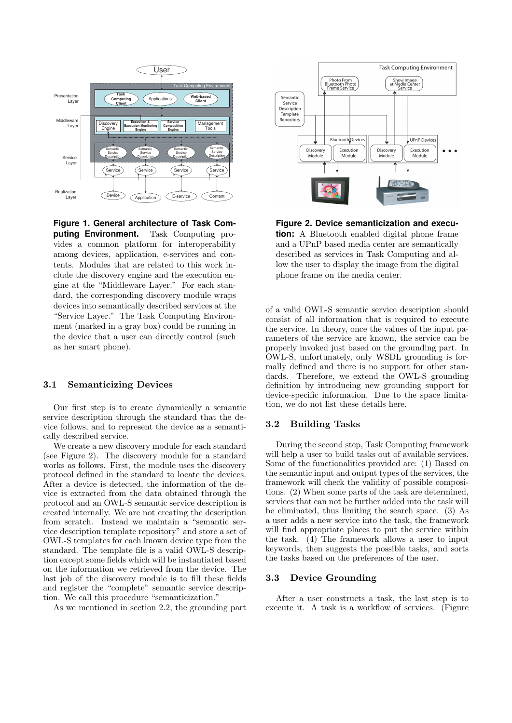

**Figure 1. General architecture of Task Computing Environment.** Task Computing provides a common platform for interoperability among devices, application, e-services and contents. Modules that are related to this work include the discovery engine and the execution engine at the "Middleware Layer." For each standard, the corresponding discovery module wraps devices into semantically described services at the "Service Layer." The Task Computing Environment (marked in a gray box) could be running in the device that a user can directly control (such as her smart phone).

#### **3.1 Semanticizing Devices**

Our first step is to create dynamically a semantic service description through the standard that the device follows, and to represent the device as a semantically described service.

We create a new discovery module for each standard (see Figure 2). The discovery module for a standard works as follows. First, the module uses the discovery protocol defined in the standard to locate the devices. After a device is detected, the information of the device is extracted from the data obtained through the protocol and an OWL-S semantic service description is created internally. We are not creating the description from scratch. Instead we maintain a "semantic service description template repository" and store a set of OWL-S templates for each known device type from the standard. The template file is a valid OWL-S description except some fields which will be instantiated based on the information we retrieved from the device. The last job of the discovery module is to fill these fields and register the "complete" semantic service description. We call this procedure "semanticization."

As we mentioned in section 2.2, the grounding part



**Figure 2. Device semanticization and execution:** A Bluetooth enabled digital phone frame and a UPnP based media center are semantically described as services in Task Computing and allow the user to display the image from the digital phone frame on the media center.

of a valid OWL-S semantic service description should consist of all information that is required to execute the service. In theory, once the values of the input parameters of the service are known, the service can be properly invoked just based on the grounding part. In OWL-S, unfortunately, only WSDL grounding is formally defined and there is no support for other standards. Therefore, we extend the OWL-S grounding definition by introducing new grounding support for device-specific information. Due to the space limitation, we do not list these details here.

#### **3.2 Building Tasks**

During the second step, Task Computing framework will help a user to build tasks out of available services. Some of the functionalities provided are: (1) Based on the semantic input and output types of the services, the framework will check the validity of possible compositions. (2) When some parts of the task are determined, services that can not be further added into the task will be eliminated, thus limiting the search space. (3) As a user adds a new service into the task, the framework will find appropriate places to put the service within the task. (4) The framework allows a user to input keywords, then suggests the possible tasks, and sorts the tasks based on the preferences of the user.

### **3.3 Device Grounding**

After a user constructs a task, the last step is to execute it. A task is a workflow of services. (Figure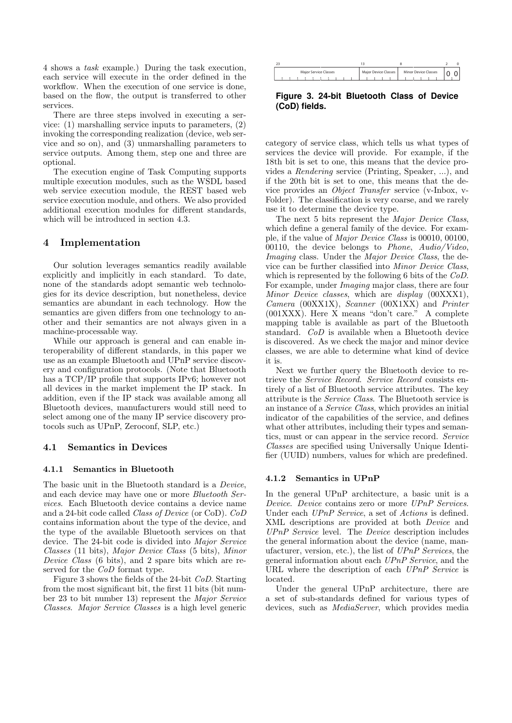4 shows a *task* example.) During the task execution, each service will execute in the order defined in the workflow. When the execution of one service is done, based on the flow, the output is transferred to other services.

There are three steps involved in executing a service: (1) marshalling service inputs to parameters, (2) invoking the corresponding realization (device, web service and so on), and (3) unmarshalling parameters to service outputs. Among them, step one and three are optional.

The execution engine of Task Computing supports multiple execution modules, such as the WSDL based web service execution module, the REST based web service execution module, and others. We also provided additional execution modules for different standards, which will be introduced in section 4.3.

### **4 Implementation**

Our solution leverages semantics readily available explicitly and implicitly in each standard. To date, none of the standards adopt semantic web technologies for its device description, but nonetheless, device semantics are abundant in each technology. How the semantics are given differs from one technology to another and their semantics are not always given in a machine-processable way.

While our approach is general and can enable interoperability of different standards, in this paper we use as an example Bluetooth and UPnP service discovery and configuration protocols. (Note that Bluetooth has a TCP/IP profile that supports IPv6; however not all devices in the market implement the IP stack. In addition, even if the IP stack was available among all Bluetooth devices, manufacturers would still need to select among one of the many IP service discovery protocols such as UPnP, Zeroconf, SLP, etc.)

#### **4.1 Semantics in Devices**

#### **4.1.1 Semantics in Bluetooth**

The basic unit in the Bluetooth standard is a *Device*, and each device may have one or more *Bluetooth Services*. Each Bluetooth device contains a device name and a 24-bit code called *Class of Device* (or CoD). *CoD* contains information about the type of the device, and the type of the available Bluetooth services on that device. The 24-bit code is divided into *Major Service Classes* (11 bits), *Major Device Class* (5 bits), *Minor Device Class* (6 bits), and 2 spare bits which are reserved for the *CoD* format type.

Figure 3 shows the fields of the 24-bit *CoD*. Starting from the most significant bit, the first 11 bits (bit number 23 to bit number 13) represent the *Major Service Classes*. *Major Service Classes* is a high level generic

| Major Service Classes | <b>Maior Device Classes</b> | <b>Minor Device Classes</b> |  |
|-----------------------|-----------------------------|-----------------------------|--|
|                       |                             |                             |  |

**Figure 3. 24-bit Bluetooth Class of Device (CoD) fields.**

category of service class, which tells us what types of services the device will provide. For example, if the 18th bit is set to one, this means that the device provides a *Rendering* service (Printing, Speaker, ...), and if the 20th bit is set to one, this means that the device provides an *Object Transfer* service (v-Inbox, v-Folder). The classification is very coarse, and we rarely use it to determine the device type.

The next 5 bits represent the *Major Device Class*, which define a general family of the device. For example, if the value of *Major Device Class* is 00010, 00100, 00110, the device belongs to *Phone*, *Audio/Video*, *Imaging* class. Under the *Major Device Class*, the device can be further classified into *Minor Device Class*, which is represented by the following 6 bits of the *CoD*. For example, under *Imaging* major class, there are four *Minor Device classes*, which are *display* (00XXX1), *Camera* (00XX1X), *Scanner* (00X1XX) and *Printer* (001XXX). Here X means "don't care." A complete mapping table is available as part of the Bluetooth standard. *CoD* is available when a Bluetooth device is discovered. As we check the major and minor device classes, we are able to determine what kind of device it is.

Next we further query the Bluetooth device to retrieve the *Service Record*. *Service Record* consists entirely of a list of Bluetooth service attributes. The key attribute is the *Service Class*. The Bluetooth service is an instance of a *Service Class*, which provides an initial indicator of the capabilities of the service, and defines what other attributes, including their types and semantics, must or can appear in the service record. *Service Classes* are specified using Universally Unique Identifier (UUID) numbers, values for which are predefined.

#### **4.1.2 Semantics in UPnP**

In the general UPnP architecture, a basic unit is a *Device*. *Device* contains zero or more *UPnP Services*. Under each *UPnP Service*, a set of *Actions* is defined. XML descriptions are provided at both *Device* and *UPnP Service* level. The *Device* description includes the general information about the device (name, manufacturer, version, etc.), the list of *UPnP Services*, the general information about each *UPnP Service*, and the URL where the description of each *UPnP Service* is located.

Under the general UPnP architecture, there are a set of sub-standards defined for various types of devices, such as *MediaServer*, which provides media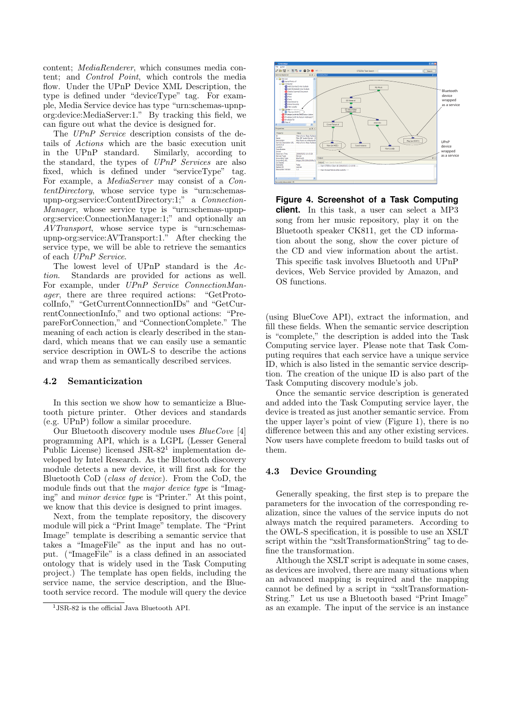content; *MediaRenderer*, which consumes media content; and *Control Point*, which controls the media flow. Under the UPnP Device XML Description, the type is defined under "deviceType" tag. For example, Media Service device has type "urn:schemas-upnporg:device:MediaServer:1." By tracking this field, we can figure out what the device is designed for.

The *UPnP Service* description consists of the details of *Actions* which are the basic execution unit in the UPnP standard. Similarly, according to the standard, the types of *UPnP Services* are also fixed, which is defined under "serviceType" tag. For example, a *MediaServer* may consist of a *ContentDirectory*, whose service type is "urn:schemasupnp-org:service:ContentDirectory:1;" a *Connection-Manager*, whose service type is "urn:schemas-upnporg:service:ConnectionManager:1;" and optionally an *AVTransport*, whose service type is "urn:schemasupnp-org:service:AVTransport:1." After checking the service type, we will be able to retrieve the semantics of each *UPnP Service*.

The lowest level of UPnP standard is the *Action*. Standards are provided for actions as well. For example, under *UPnP Service ConnectionManager*, there are three required actions: "GetProtocolInfo," "GetCurrentConnnectionIDs" and "GetCurrentConnectionInfo," and two optional actions: "PrepareForConnection," and "ConnectionComplete." The meaning of each action is clearly described in the standard, which means that we can easily use a semantic service description in OWL-S to describe the actions and wrap them as semantically described services.

### **4.2 Semanticization**

In this section we show how to semanticize a Bluetooth picture printer. Other devices and standards (e.g. UPnP) follow a similar procedure.

Our Bluetooth discovery module uses *BlueCove* [4] programming API, which is a LGPL (Lesser General Public License) licensed JSR-82<sup>1</sup> implementation developed by Intel Research. As the Bluetooth discovery module detects a new device, it will first ask for the Bluetooth CoD (*class of device*). From the CoD, the module finds out that the *major device type* is "Imaging" and *minor device type* is "Printer." At this point, we know that this device is designed to print images.

Next, from the template repository, the discovery module will pick a "Print Image" template. The "Print Image" template is describing a semantic service that takes a "ImageFile" as the input and has no output. ("ImageFile" is a class defined in an associated ontology that is widely used in the Task Computing project.) The template has open fields, including the service name, the service description, and the Bluetooth service record. The module will query the device



**Figure 4. Screenshot of a Task Computing client.** In this task, a user can select a MP3 song from her music repository, play it on the Bluetooth speaker CK811, get the CD information about the song, show the cover picture of the CD and view information about the artist. This specific task involves Bluetooth and UPnP devices, Web Service provided by Amazon, and OS functions.

(using BlueCove API), extract the information, and fill these fields. When the semantic service description is "complete," the description is added into the Task Computing service layer. Please note that Task Computing requires that each service have a unique service ID, which is also listed in the semantic service description. The creation of the unique ID is also part of the Task Computing discovery module's job.

Once the semantic service description is generated and added into the Task Computing service layer, the device is treated as just another semantic service. From the upper layer's point of view (Figure 1), there is no difference between this and any other existing services. Now users have complete freedom to build tasks out of them.

#### **4.3 Device Grounding**

Generally speaking, the first step is to prepare the parameters for the invocation of the corresponding realization, since the values of the service inputs do not always match the required parameters. According to the OWL-S specification, it is possible to use an XSLT script within the "xsltTransformationString" tag to define the transformation.

Although the XSLT script is adequate in some cases, as devices are involved, there are many situations when an advanced mapping is required and the mapping cannot be defined by a script in "xsltTransformation-String." Let us use a Bluetooth based "Print Image" as an example. The input of the service is an instance

<sup>1</sup>JSR-82 is the official Java Bluetooth API.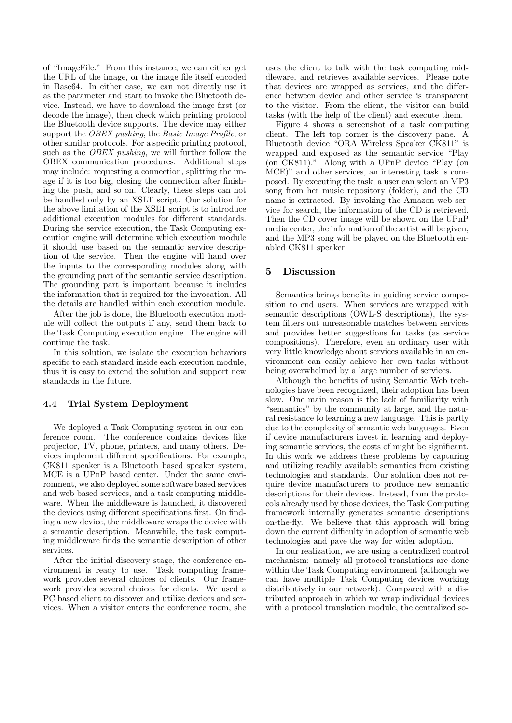of "ImageFile." From this instance, we can either get the URL of the image, or the image file itself encoded in Base64. In either case, we can not directly use it as the parameter and start to invoke the Bluetooth device. Instead, we have to download the image first (or decode the image), then check which printing protocol the Bluetooth device supports. The device may either support the *OBEX pushing*, the *Basic Image Profile*, or other similar protocols. For a specific printing protocol, such as the *OBEX pushing*, we will further follow the OBEX communication procedures. Additional steps may include: requesting a connection, splitting the image if it is too big, closing the connection after finishing the push, and so on. Clearly, these steps can not be handled only by an XSLT script. Our solution for the above limitation of the XSLT script is to introduce additional execution modules for different standards. During the service execution, the Task Computing execution engine will determine which execution module it should use based on the semantic service description of the service. Then the engine will hand over the inputs to the corresponding modules along with the grounding part of the semantic service description. The grounding part is important because it includes the information that is required for the invocation. All the details are handled within each execution module.

After the job is done, the Bluetooth execution module will collect the outputs if any, send them back to the Task Computing execution engine. The engine will continue the task.

In this solution, we isolate the execution behaviors specific to each standard inside each execution module, thus it is easy to extend the solution and support new standards in the future.

### **4.4 Trial System Deployment**

We deployed a Task Computing system in our conference room. The conference contains devices like projector, TV, phone, printers, and many others. Devices implement different specifications. For example, CK811 speaker is a Bluetooth based speaker system, MCE is a UPnP based center. Under the same environment, we also deployed some software based services and web based services, and a task computing middleware. When the middleware is launched, it discovered the devices using different specifications first. On finding a new device, the middleware wraps the device with a semantic description. Meanwhile, the task computing middleware finds the semantic description of other services.

After the initial discovery stage, the conference environment is ready to use. Task computing framework provides several choices of clients. Our framework provides several choices for clients. We used a PC based client to discover and utilize devices and services. When a visitor enters the conference room, she uses the client to talk with the task computing middleware, and retrieves available services. Please note that devices are wrapped as services, and the difference between device and other service is transparent to the visitor. From the client, the visitor can build tasks (with the help of the client) and execute them.

Figure 4 shows a screenshot of a task computing client. The left top corner is the discovery pane. A Bluetooth device "ORA Wireless Speaker CK811" is wrapped and exposed as the semantic service "Play (on CK811)." Along with a UPnP device "Play (on MCE)" and other services, an interesting task is composed. By executing the task, a user can select an MP3 song from her music repository (folder), and the CD name is extracted. By invoking the Amazon web service for search, the information of the CD is retrieved. Then the CD cover image will be shown on the UPnP media center, the information of the artist will be given, and the MP3 song will be played on the Bluetooth enabled CK811 speaker.

# **5 Discussion**

Semantics brings benefits in guiding service composition to end users. When services are wrapped with semantic descriptions (OWL-S descriptions), the system filters out unreasonable matches between services and provides better suggestions for tasks (as service compositions). Therefore, even an ordinary user with very little knowledge about services available in an environment can easily achieve her own tasks without being overwhelmed by a large number of services.

Although the benefits of using Semantic Web technologies have been recognized, their adoption has been slow. One main reason is the lack of familiarity with "semantics" by the community at large, and the natural resistance to learning a new language. This is partly due to the complexity of semantic web languages. Even if device manufacturers invest in learning and deploying semantic services, the costs of might be significant. In this work we address these problems by capturing and utilizing readily available semantics from existing technologies and standards. Our solution does not require device manufacturers to produce new semantic descriptions for their devices. Instead, from the protocols already used by those devices, the Task Computing framework internally generates semantic descriptions on-the-fly. We believe that this approach will bring down the current difficulty in adoption of semantic web technologies and pave the way for wider adoption.

In our realization, we are using a centralized control mechanism: namely all protocol translations are done within the Task Computing environment (although we can have multiple Task Computing devices working distributively in our network). Compared with a distributed approach in which we wrap individual devices with a protocol translation module, the centralized so